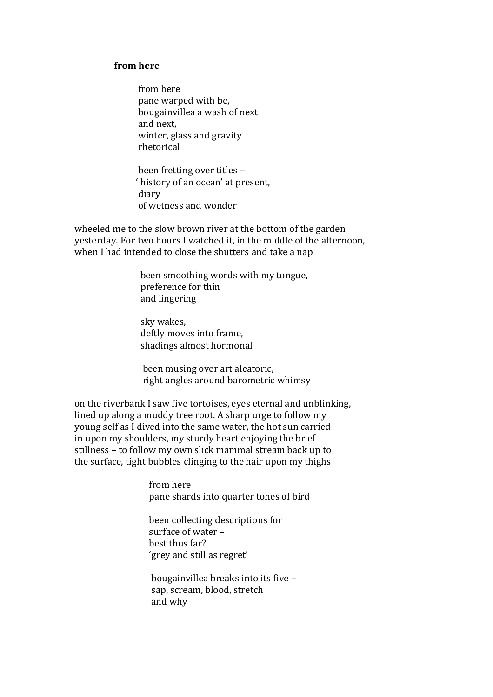## **from here**

 from here pane warped with be, bougainvillea a wash of next and next, winter, glass and gravity rhetorical

 been fretting over titles – ' history of an ocean' at present, diary of wetness and wonder

wheeled me to the slow brown river at the bottom of the garden yesterday. For two hours I watched it, in the middle of the afternoon, when I had intended to close the shutters and take a nap

> been smoothing words with my tongue, preference for thin and lingering

 sky wakes, deftly moves into frame, shadings almost hormonal

 been musing over art aleatoric, right angles around barometric whimsy

on the riverbank I saw five tortoises, eyes eternal and unblinking, lined up along a muddy tree root. A sharp urge to follow my young self as I dived into the same water, the hot sun carried in upon my shoulders, my sturdy heart enjoying the brief stillness – to follow my own slick mammal stream back up to the surface, tight bubbles clinging to the hair upon my thighs

> from here pane shards into quarter tones of bird

 been collecting descriptions for surface of water – best thus far? 'grey and still as regret'

 bougainvillea breaks into its five – sap, scream, blood, stretch and why